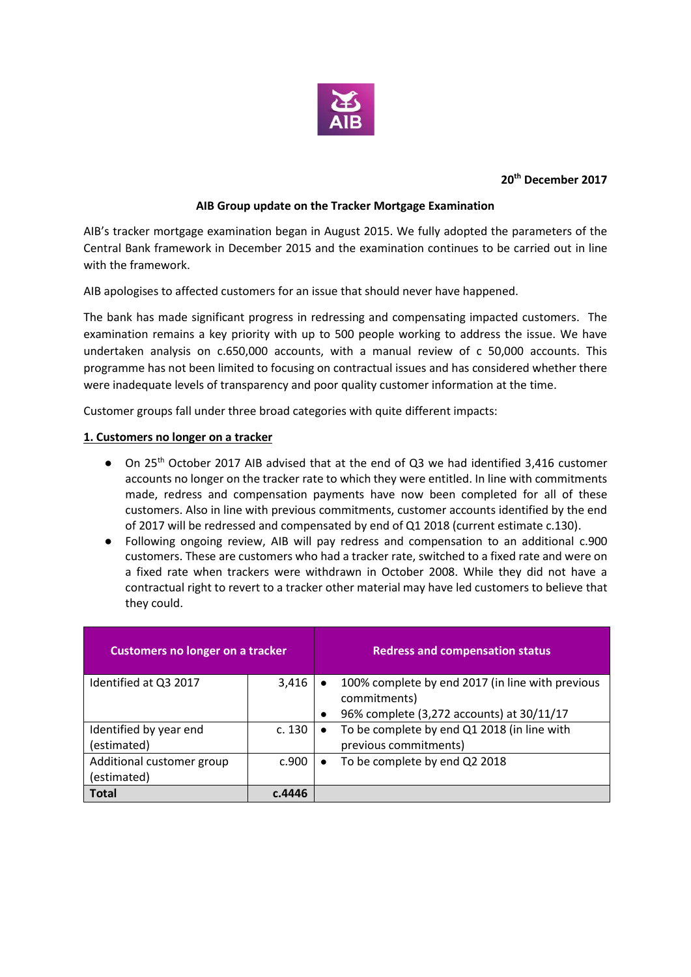

#### **20th December 2017**

# **AIB Group update on the Tracker Mortgage Examination**

AIB's tracker mortgage examination began in August 2015. We fully adopted the parameters of the Central Bank framework in December 2015 and the examination continues to be carried out in line with the framework.

AIB apologises to affected customers for an issue that should never have happened.

The bank has made significant progress in redressing and compensating impacted customers. The examination remains a key priority with up to 500 people working to address the issue. We have undertaken analysis on c.650,000 accounts, with a manual review of c 50,000 accounts. This programme has not been limited to focusing on contractual issues and has considered whether there were inadequate levels of transparency and poor quality customer information at the time.

Customer groups fall under three broad categories with quite different impacts:

# **1. Customers no longer on a tracker**

- On 25<sup>th</sup> October 2017 AIB advised that at the end of Q3 we had identified 3,416 customer accounts no longer on the tracker rate to which they were entitled. In line with commitments made, redress and compensation payments have now been completed for all of these customers. Also in line with previous commitments, customer accounts identified by the end of 2017 will be redressed and compensated by end of Q1 2018 (current estimate c.130).
- Following ongoing review, AIB will pay redress and compensation to an additional c.900 customers. These are customers who had a tracker rate, switched to a fixed rate and were on a fixed rate when trackers were withdrawn in October 2008. While they did not have a contractual right to revert to a tracker other material may have led customers to believe that they could.

| <b>Customers no longer on a tracker</b> |        |           | <b>Redress and compensation status</b>                           |
|-----------------------------------------|--------|-----------|------------------------------------------------------------------|
| Identified at Q3 2017                   | 3,416  |           | 100% complete by end 2017 (in line with previous<br>commitments) |
|                                         |        |           |                                                                  |
|                                         |        | $\bullet$ | 96% complete (3,272 accounts) at 30/11/17                        |
| Identified by year end                  | c. 130 | $\bullet$ | To be complete by end Q1 2018 (in line with                      |
| (estimated)                             |        |           | previous commitments)                                            |
| Additional customer group               | c.900  | $\bullet$ | To be complete by end Q2 2018                                    |
| (estimated)                             |        |           |                                                                  |
| Total                                   | c.4446 |           |                                                                  |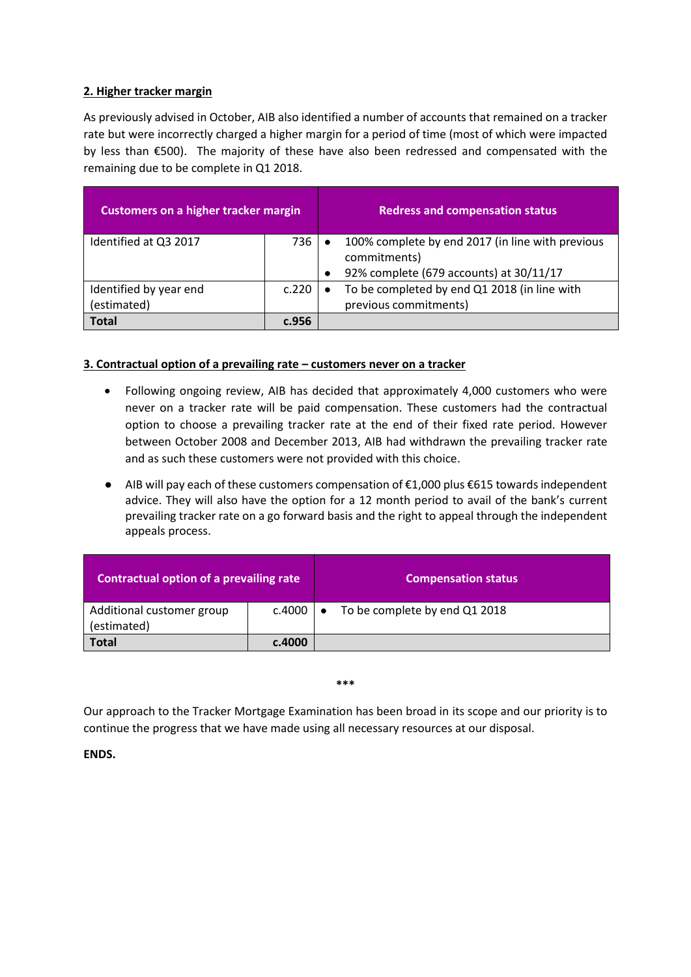## **2. Higher tracker margin**

As previously advised in October, AIB also identified a number of accounts that remained on a tracker rate but were incorrectly charged a higher margin for a period of time (most of which were impacted by less than €500). The majority of these have also been redressed and compensated with the remaining due to be complete in Q1 2018.

| <b>Customers on a higher tracker margin</b> |       |           | <b>Redress and compensation status</b>                           |
|---------------------------------------------|-------|-----------|------------------------------------------------------------------|
| Identified at Q3 2017                       | 736   |           | 100% complete by end 2017 (in line with previous<br>commitments) |
|                                             |       |           |                                                                  |
|                                             |       | $\bullet$ | 92% complete (679 accounts) at 30/11/17                          |
| Identified by year end                      | c.220 | $\bullet$ | To be completed by end Q1 2018 (in line with                     |
| (estimated)                                 |       |           | previous commitments)                                            |
| <b>Total</b>                                | c.956 |           |                                                                  |

# **3. Contractual option of a prevailing rate – customers never on a tracker**

- Following ongoing review, AIB has decided that approximately 4,000 customers who were never on a tracker rate will be paid compensation. These customers had the contractual option to choose a prevailing tracker rate at the end of their fixed rate period. However between October 2008 and December 2013, AIB had withdrawn the prevailing tracker rate and as such these customers were not provided with this choice.
- AIB will pay each of these customers compensation of €1,000 plus €615 towards independent advice. They will also have the option for a 12 month period to avail of the bank's current prevailing tracker rate on a go forward basis and the right to appeal through the independent appeals process.

| Contractual option of a prevailing rate  |                      | <b>Compensation status</b>    |
|------------------------------------------|----------------------|-------------------------------|
| Additional customer group<br>(estimated) | $c.4000$   $\bullet$ | To be complete by end Q1 2018 |
| Total                                    | c.4000               |                               |

#### **\*\*\***

Our approach to the Tracker Mortgage Examination has been broad in its scope and our priority is to continue the progress that we have made using all necessary resources at our disposal.

**ENDS.**